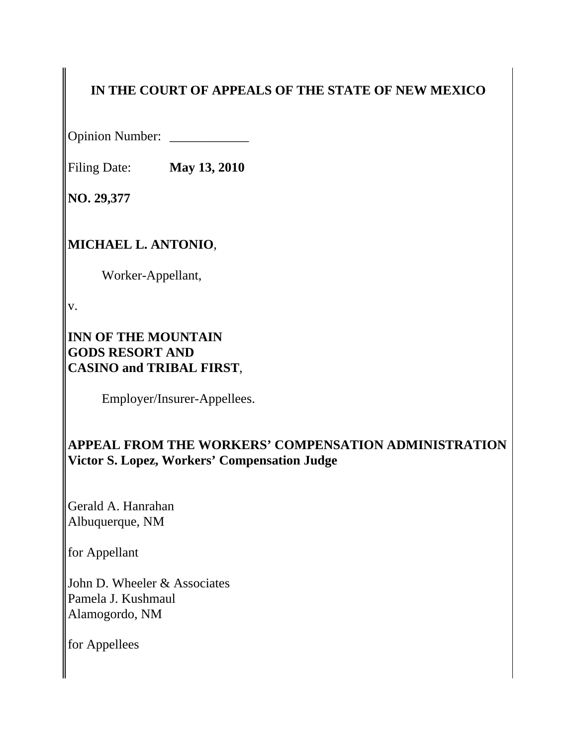# **IN THE COURT OF APPEALS OF THE STATE OF NEW MEXICO**

Opinion Number: \_\_\_\_\_\_\_\_\_\_\_\_

Filing Date: **May 13, 2010**

**NO. 29,377**

## **MICHAEL L. ANTONIO**,

Worker-Appellant,

v.

### **INN OF THE MOUNTAIN GODS RESORT AND CASINO and TRIBAL FIRST**,

Employer/Insurer-Appellees.

## **APPEAL FROM THE WORKERS' COMPENSATION ADMINISTRATION Victor S. Lopez, Workers' Compensation Judge**

Gerald A. Hanrahan Albuquerque, NM

for Appellant

John D. Wheeler & Associates Pamela J. Kushmaul Alamogordo, NM

for Appellees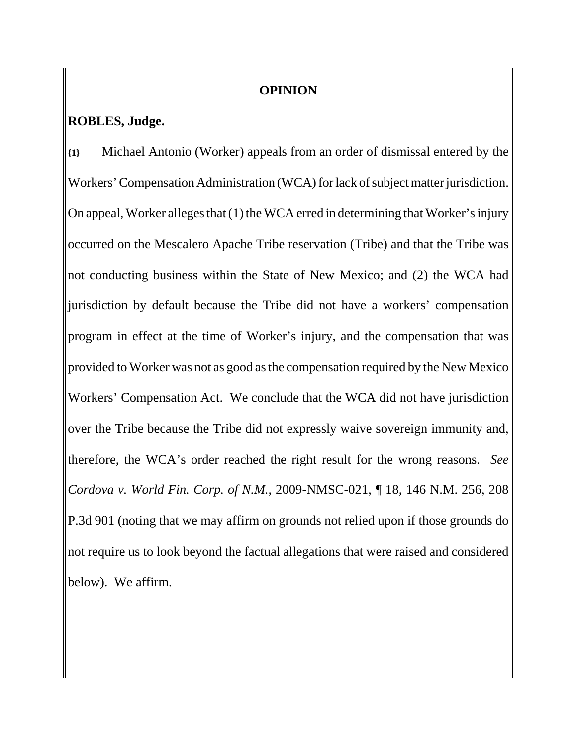### **OPINION**

## **ROBLES, Judge.**

**{1}** Michael Antonio (Worker) appeals from an order of dismissal entered by the Workers' Compensation Administration (WCA) for lack of subject matter jurisdiction. On appeal, Worker alleges that (1) the WCA erred in determining that Worker's injury occurred on the Mescalero Apache Tribe reservation (Tribe) and that the Tribe was not conducting business within the State of New Mexico; and (2) the WCA had jurisdiction by default because the Tribe did not have a workers' compensation program in effect at the time of Worker's injury, and the compensation that was provided to Worker was not as good as the compensation required by the New Mexico Workers' Compensation Act. We conclude that the WCA did not have jurisdiction over the Tribe because the Tribe did not expressly waive sovereign immunity and, therefore, the WCA's order reached the right result for the wrong reasons. *See Cordova v. World Fin. Corp. of N.M.*, 2009-NMSC-021, ¶ 18, 146 N.M. 256, 208 P.3d 901 (noting that we may affirm on grounds not relied upon if those grounds do not require us to look beyond the factual allegations that were raised and considered below). We affirm.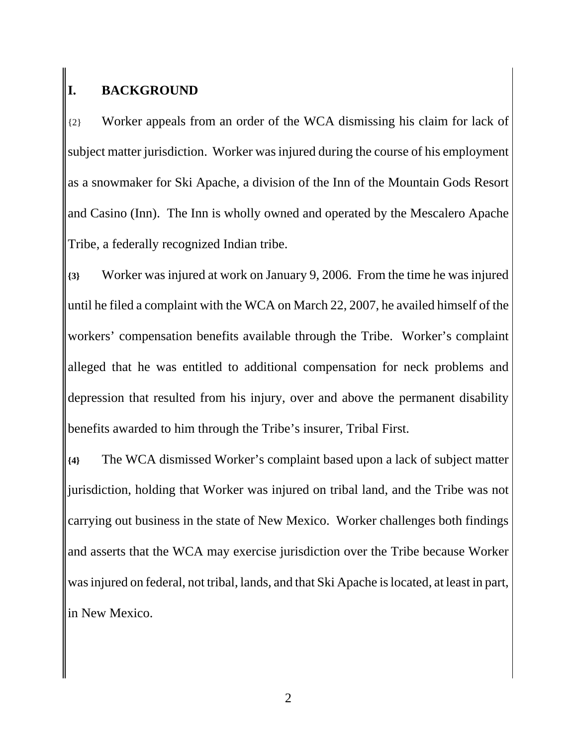# **I. BACKGROUND**

{2} Worker appeals from an order of the WCA dismissing his claim for lack of subject matter jurisdiction. Worker was injured during the course of his employment as a snowmaker for Ski Apache, a division of the Inn of the Mountain Gods Resort and Casino (Inn). The Inn is wholly owned and operated by the Mescalero Apache Tribe, a federally recognized Indian tribe.

**{3}** Worker was injured at work on January 9, 2006. From the time he was injured until he filed a complaint with the WCA on March 22, 2007, he availed himself of the workers' compensation benefits available through the Tribe. Worker's complaint alleged that he was entitled to additional compensation for neck problems and depression that resulted from his injury, over and above the permanent disability benefits awarded to him through the Tribe's insurer, Tribal First.

**{4}** The WCA dismissed Worker's complaint based upon a lack of subject matter jurisdiction, holding that Worker was injured on tribal land, and the Tribe was not carrying out business in the state of New Mexico. Worker challenges both findings and asserts that the WCA may exercise jurisdiction over the Tribe because Worker was injured on federal, not tribal, lands, and that Ski Apache is located, at least in part, in New Mexico.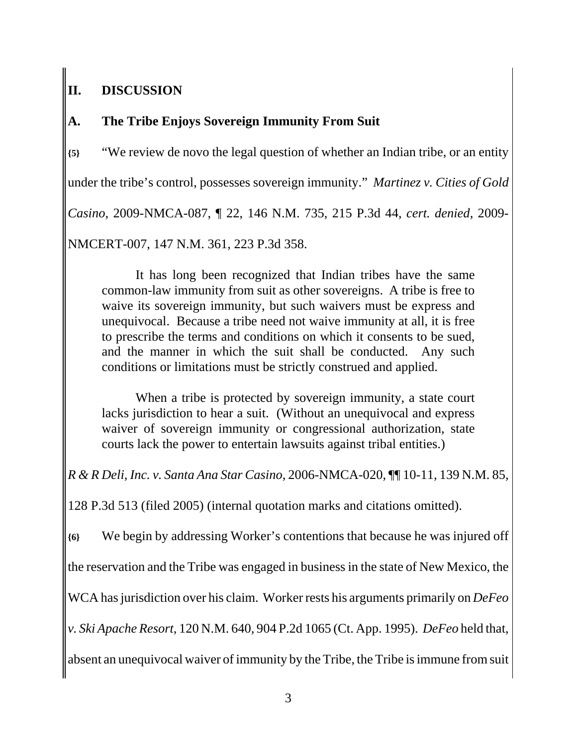# **II. DISCUSSION**

# **A. The Tribe Enjoys Sovereign Immunity From Suit**

**{5}** "We review de novo the legal question of whether an Indian tribe, or an entity under the tribe's control, possesses sovereign immunity." *Martinez v. Cities of Gold Casino*, 2009-NMCA-087, ¶ 22, 146 N.M. 735, 215 P.3d 44, *cert. denied*, 2009- NMCERT-007, 147 N.M. 361, 223 P.3d 358.

It has long been recognized that Indian tribes have the same common-law immunity from suit as other sovereigns. A tribe is free to waive its sovereign immunity, but such waivers must be express and unequivocal. Because a tribe need not waive immunity at all, it is free to prescribe the terms and conditions on which it consents to be sued, and the manner in which the suit shall be conducted. Any such conditions or limitations must be strictly construed and applied.

When a tribe is protected by sovereign immunity, a state court lacks jurisdiction to hear a suit. (Without an unequivocal and express waiver of sovereign immunity or congressional authorization, state courts lack the power to entertain lawsuits against tribal entities.)

*R & R Deli, Inc. v. Santa Ana Star Casino*, 2006-NMCA-020, ¶¶ 10-11, 139 N.M. 85,

128 P.3d 513 (filed 2005) (internal quotation marks and citations omitted).

**{6}** We begin by addressing Worker's contentions that because he was injured off the reservation and the Tribe was engaged in business in the state of New Mexico, the WCA has jurisdiction over his claim. Worker rests his arguments primarily on *DeFeo v. Ski Apache Resort*, 120 N.M. 640, 904 P.2d 1065 (Ct. App. 1995). *DeFeo* held that, absent an unequivocal waiver of immunity by the Tribe, the Tribe is immune from suit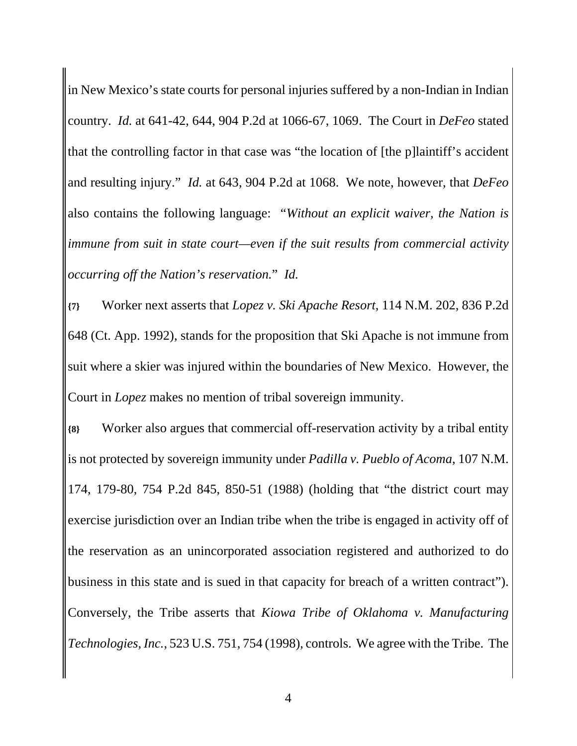in New Mexico's state courts for personal injuries suffered by a non-Indian in Indian country. *Id.* at 641-42, 644, 904 P.2d at 1066-67, 1069. The Court in *DeFeo* stated that the controlling factor in that case was "the location of [the p]laintiff's accident and resulting injury." *Id.* at 643, 904 P.2d at 1068. We note, however, that *DeFeo* also contains the following language: "*Without an explicit waiver, the Nation is immune from suit in state court—even if the suit results from commercial activity occurring off the Nation's reservation.*" *Id.*

**{7}** Worker next asserts that *Lopez v. Ski Apache Resort*, 114 N.M. 202, 836 P.2d 648 (Ct. App. 1992), stands for the proposition that Ski Apache is not immune from suit where a skier was injured within the boundaries of New Mexico. However, the Court in *Lopez* makes no mention of tribal sovereign immunity.

**{8}** Worker also argues that commercial off-reservation activity by a tribal entity is not protected by sovereign immunity under *Padilla v. Pueblo of Acoma*, 107 N.M. 174, 179-80, 754 P.2d 845, 850-51 (1988) (holding that "the district court may exercise jurisdiction over an Indian tribe when the tribe is engaged in activity off of the reservation as an unincorporated association registered and authorized to do business in this state and is sued in that capacity for breach of a written contract"). Conversely, the Tribe asserts that *Kiowa Tribe of Oklahoma v. Manufacturing Technologies, Inc.*, 523 U.S. 751, 754 (1998), controls. We agree with the Tribe. The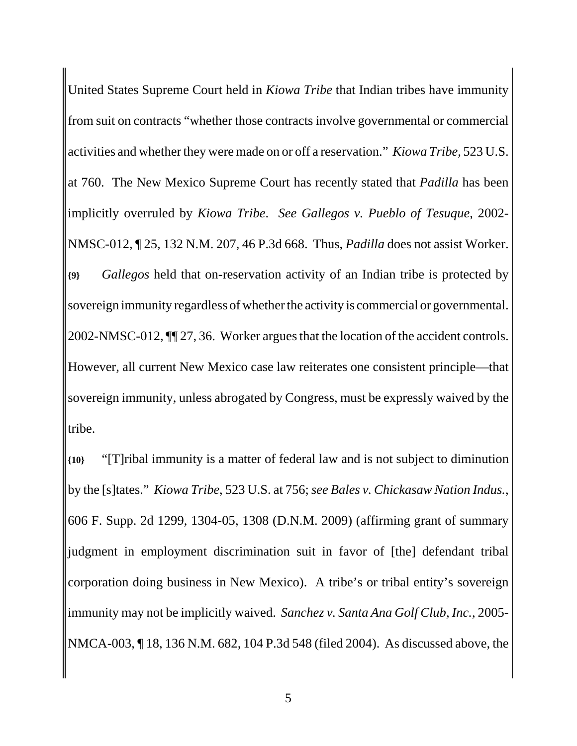United States Supreme Court held in *Kiowa Tribe* that Indian tribes have immunity from suit on contracts "whether those contracts involve governmental or commercial activities and whether they were made on or off a reservation." *Kiowa Tribe*, 523 U.S. at 760. The New Mexico Supreme Court has recently stated that *Padilla* has been implicitly overruled by *Kiowa Tribe*. *See Gallegos v. Pueblo of Tesuque*, 2002- NMSC-012, ¶ 25, 132 N.M. 207, 46 P.3d 668. Thus, *Padilla* does not assist Worker. **{9}** *Gallegos* held that on-reservation activity of an Indian tribe is protected by sovereign immunity regardless of whether the activity is commercial or governmental. 2002-NMSC-012, ¶¶ 27, 36. Worker argues that the location of the accident controls. However, all current New Mexico case law reiterates one consistent principle—that sovereign immunity, unless abrogated by Congress, must be expressly waived by the tribe.

**{10}** "[T]ribal immunity is a matter of federal law and is not subject to diminution by the [s]tates." *Kiowa Tribe*, 523 U.S. at 756; *see Bales v. Chickasaw Nation Indus.*, 606 F. Supp. 2d 1299, 1304-05, 1308 (D.N.M. 2009) (affirming grant of summary judgment in employment discrimination suit in favor of [the] defendant tribal corporation doing business in New Mexico). A tribe's or tribal entity's sovereign immunity may not be implicitly waived. *Sanchez v. Santa Ana Golf Club, Inc.*, 2005- NMCA-003, ¶ 18, 136 N.M. 682, 104 P.3d 548 (filed 2004). As discussed above, the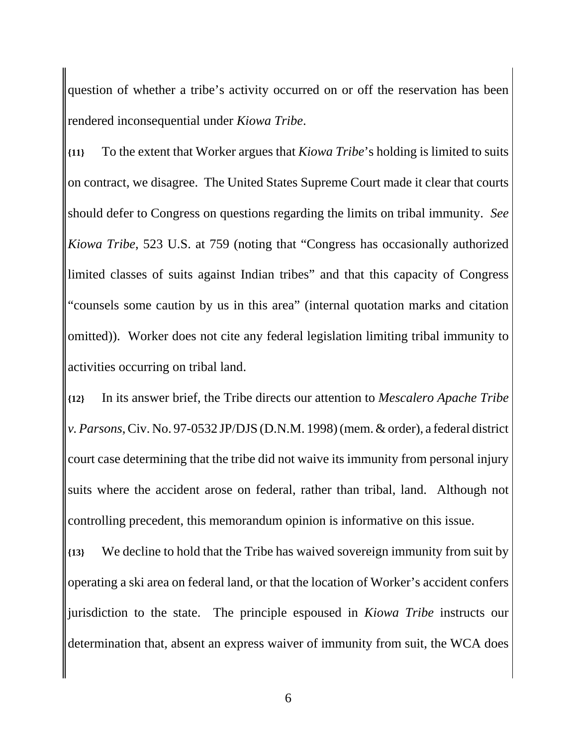question of whether a tribe's activity occurred on or off the reservation has been rendered inconsequential under *Kiowa Tribe*.

**{11}** To the extent that Worker argues that *Kiowa Tribe*'s holding is limited to suits on contract, we disagree. The United States Supreme Court made it clear that courts should defer to Congress on questions regarding the limits on tribal immunity. *See Kiowa Tribe*, 523 U.S. at 759 (noting that "Congress has occasionally authorized limited classes of suits against Indian tribes" and that this capacity of Congress "counsels some caution by us in this area" (internal quotation marks and citation omitted)). Worker does not cite any federal legislation limiting tribal immunity to activities occurring on tribal land.

**{12}** In its answer brief, the Tribe directs our attention to *Mescalero Apache Tribe v. Parsons*, Civ. No. 97-0532 JP/DJS (D.N.M. 1998) (mem. & order), a federal district court case determining that the tribe did not waive its immunity from personal injury suits where the accident arose on federal, rather than tribal, land. Although not controlling precedent, this memorandum opinion is informative on this issue.

**{13}** We decline to hold that the Tribe has waived sovereign immunity from suit by operating a ski area on federal land, or that the location of Worker's accident confers jurisdiction to the state. The principle espoused in *Kiowa Tribe* instructs our determination that, absent an express waiver of immunity from suit, the WCA does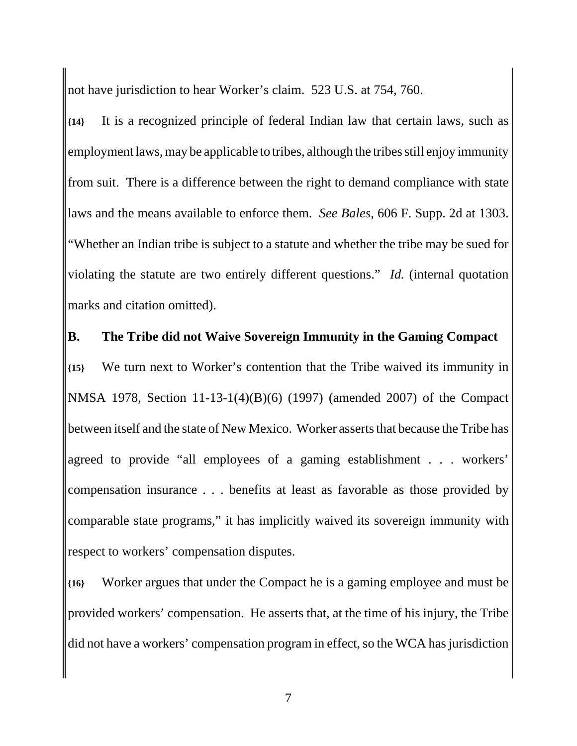not have jurisdiction to hear Worker's claim. 523 U.S. at 754, 760.

**{14}** It is a recognized principle of federal Indian law that certain laws, such as employment laws, may be applicable to tribes, although the tribes still enjoy immunity from suit. There is a difference between the right to demand compliance with state laws and the means available to enforce them. *See Bales*, 606 F. Supp. 2d at 1303. "Whether an Indian tribe is subject to a statute and whether the tribe may be sued for violating the statute are two entirely different questions." *Id.* (internal quotation marks and citation omitted).

## **B. The Tribe did not Waive Sovereign Immunity in the Gaming Compact**

**{15}** We turn next to Worker's contention that the Tribe waived its immunity in NMSA 1978, Section 11-13-1(4)(B)(6) (1997) (amended 2007) of the Compact between itself and the state of New Mexico. Worker asserts that because the Tribe has agreed to provide "all employees of a gaming establishment . . . workers' compensation insurance . . . benefits at least as favorable as those provided by comparable state programs," it has implicitly waived its sovereign immunity with respect to workers' compensation disputes.

**{16}** Worker argues that under the Compact he is a gaming employee and must be provided workers' compensation. He asserts that, at the time of his injury, the Tribe did not have a workers' compensation program in effect, so the WCA has jurisdiction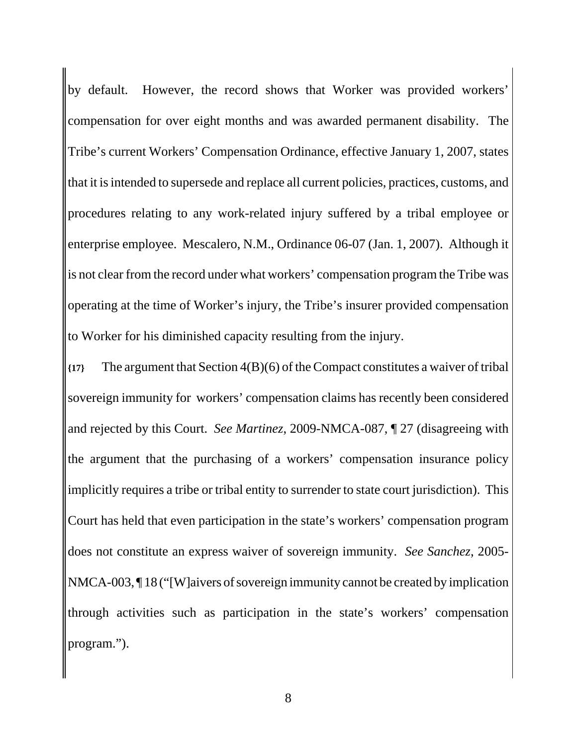by default. However, the record shows that Worker was provided workers' compensation for over eight months and was awarded permanent disability. The Tribe's current Workers' Compensation Ordinance, effective January 1, 2007, states that it is intended to supersede and replace all current policies, practices, customs, and procedures relating to any work-related injury suffered by a tribal employee or enterprise employee. Mescalero, N.M., Ordinance 06-07 (Jan. 1, 2007). Although it is not clear from the record under what workers' compensation program the Tribe was operating at the time of Worker's injury, the Tribe's insurer provided compensation to Worker for his diminished capacity resulting from the injury.

**{17}** The argument that Section 4(B)(6) of the Compact constitutes a waiver of tribal sovereign immunity for workers' compensation claims has recently been considered and rejected by this Court. *See Martinez*, 2009-NMCA-087, ¶ 27 (disagreeing with the argument that the purchasing of a workers' compensation insurance policy implicitly requires a tribe or tribal entity to surrender to state court jurisdiction). This Court has held that even participation in the state's workers' compensation program does not constitute an express waiver of sovereign immunity. *See Sanchez*, 2005- NMCA-003, ¶ 18 ("[W]aivers of sovereign immunity cannot be created by implication through activities such as participation in the state's workers' compensation program.").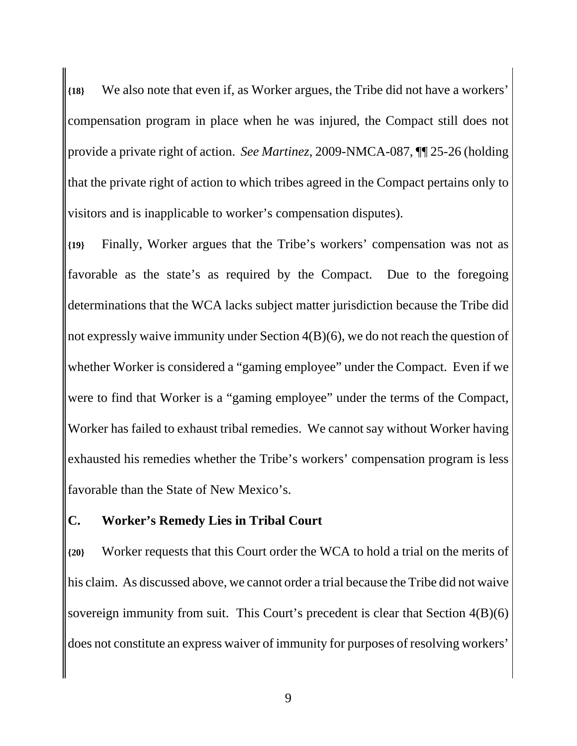**{18}** We also note that even if, as Worker argues, the Tribe did not have a workers' compensation program in place when he was injured, the Compact still does not provide a private right of action. *See Martinez*, 2009-NMCA-087, ¶¶ 25-26 (holding that the private right of action to which tribes agreed in the Compact pertains only to visitors and is inapplicable to worker's compensation disputes).

**{19}** Finally, Worker argues that the Tribe's workers' compensation was not as favorable as the state's as required by the Compact. Due to the foregoing determinations that the WCA lacks subject matter jurisdiction because the Tribe did not expressly waive immunity under Section 4(B)(6), we do not reach the question of whether Worker is considered a "gaming employee" under the Compact. Even if we were to find that Worker is a "gaming employee" under the terms of the Compact, Worker has failed to exhaust tribal remedies. We cannot say without Worker having exhausted his remedies whether the Tribe's workers' compensation program is less favorable than the State of New Mexico's.

### **C. Worker's Remedy Lies in Tribal Court**

**{20}** Worker requests that this Court order the WCA to hold a trial on the merits of his claim. As discussed above, we cannot order a trial because the Tribe did not waive sovereign immunity from suit. This Court's precedent is clear that Section 4(B)(6) does not constitute an express waiver of immunity for purposes of resolving workers'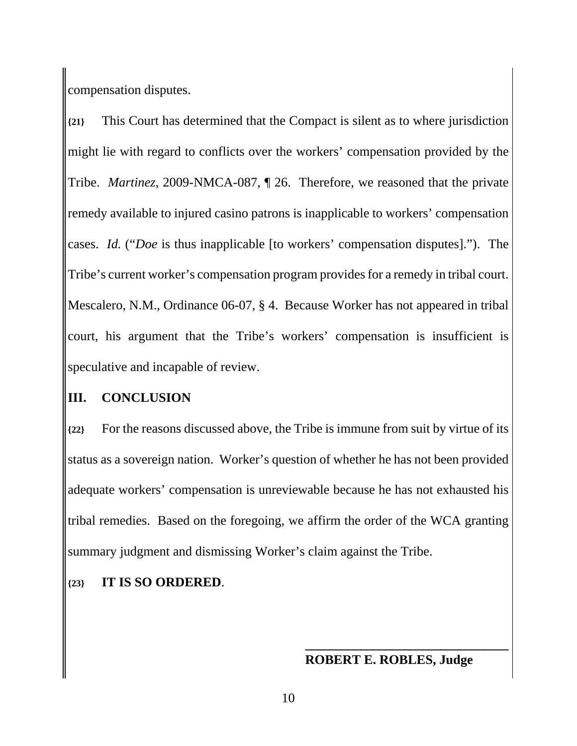compensation disputes.

**{21}** This Court has determined that the Compact is silent as to where jurisdiction might lie with regard to conflicts over the workers' compensation provided by the Tribe. *Martinez*, 2009-NMCA-087, ¶ 26. Therefore, we reasoned that the private remedy available to injured casino patrons is inapplicable to workers' compensation cases. *Id.* ("*Doe* is thus inapplicable [to workers' compensation disputes]."). The Tribe's current worker's compensation program provides for a remedy in tribal court. Mescalero, N.M., Ordinance 06-07, § 4. Because Worker has not appeared in tribal court, his argument that the Tribe's workers' compensation is insufficient is speculative and incapable of review.

### **III. CONCLUSION**

**{22}** For the reasons discussed above, the Tribe is immune from suit by virtue of its status as a sovereign nation. Worker's question of whether he has not been provided adequate workers' compensation is unreviewable because he has not exhausted his tribal remedies. Based on the foregoing, we affirm the order of the WCA granting summary judgment and dismissing Worker's claim against the Tribe.

### **{23} IT IS SO ORDERED**.

## **ROBERT E. ROBLES, Judge**

**\_\_\_\_\_\_\_\_\_\_\_\_\_\_\_\_\_\_\_\_\_\_\_\_\_\_\_\_\_\_\_\_\_**